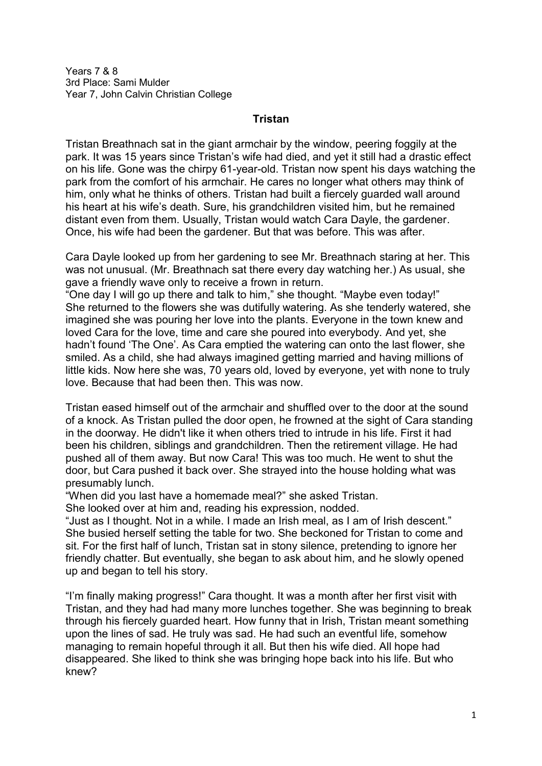Years 7 & 8 3rd Place: Sami Mulder Year 7, John Calvin Christian College

## **Tristan**

Tristan Breathnach sat in the giant armchair by the window, peering foggily at the park. It was 15 years since Tristan's wife had died, and yet it still had a drastic effect on his life. Gone was the chirpy 61-year-old. Tristan now spent his days watching the park from the comfort of his armchair. He cares no longer what others may think of him, only what he thinks of others. Tristan had built a fiercely guarded wall around his heart at his wife's death. Sure, his grandchildren visited him, but he remained distant even from them. Usually, Tristan would watch Cara Dayle, the gardener. Once, his wife had been the gardener. But that was before. This was after.

Cara Dayle looked up from her gardening to see Mr. Breathnach staring at her. This was not unusual. (Mr. Breathnach sat there every day watching her.) As usual, she gave a friendly wave only to receive a frown in return.

"One day I will go up there and talk to him," she thought. "Maybe even today!" She returned to the flowers she was dutifully watering. As she tenderly watered, she imagined she was pouring her love into the plants. Everyone in the town knew and loved Cara for the love, time and care she poured into everybody. And yet, she hadn't found 'The One'. As Cara emptied the watering can onto the last flower, she smiled. As a child, she had always imagined getting married and having millions of little kids. Now here she was, 70 years old, loved by everyone, yet with none to truly love. Because that had been then. This was now.

Tristan eased himself out of the armchair and shuffled over to the door at the sound of a knock. As Tristan pulled the door open, he frowned at the sight of Cara standing in the doorway. He didn't like it when others tried to intrude in his life. First it had been his children, siblings and grandchildren. Then the retirement village. He had pushed all of them away. But now Cara! This was too much. He went to shut the door, but Cara pushed it back over. She strayed into the house holding what was presumably lunch.

"When did you last have a homemade meal?" she asked Tristan.

She looked over at him and, reading his expression, nodded.

"Just as I thought. Not in a while. I made an Irish meal, as I am of Irish descent." She busied herself setting the table for two. She beckoned for Tristan to come and sit. For the first half of lunch, Tristan sat in stony silence, pretending to ignore her friendly chatter. But eventually, she began to ask about him, and he slowly opened up and began to tell his story.

"I'm finally making progress!" Cara thought. It was a month after her first visit with Tristan, and they had had many more lunches together. She was beginning to break through his fiercely guarded heart. How funny that in Irish, Tristan meant something upon the lines of sad. He truly was sad. He had such an eventful life, somehow managing to remain hopeful through it all. But then his wife died. All hope had disappeared. She liked to think she was bringing hope back into his life. But who knew?